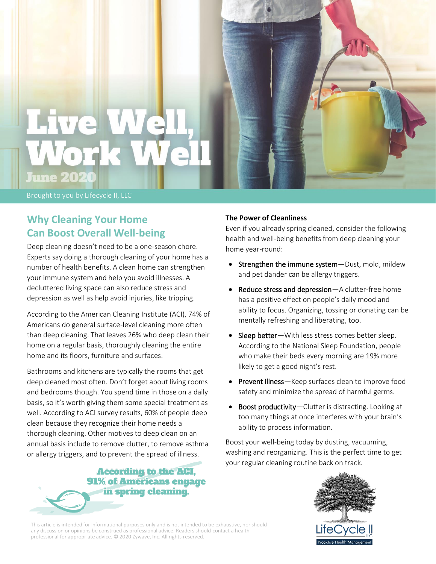

Brought to you by Lifecycle II, LLC

# **Why Cleaning Your Home Can Boost Overall Well-being**

Deep cleaning doesn't need to be a one-season chore. Experts say doing a thorough cleaning of your home has a number of health benefits. A clean home can strengthen your immune system and help you avoid illnesses. A decluttered living space can also reduce stress and depression as well as help avoid injuries, like tripping.

According to the American Cleaning Institute (ACI), 74% of Americans do general surface-level cleaning more often than deep cleaning. That leaves 26% who deep clean their home on a regular basis, thoroughly cleaning the entire home and its floors, furniture and surfaces.

Bathrooms and kitchens are typically the rooms that get deep cleaned most often. Don't forget about living rooms and bedrooms though. You spend time in those on a daily basis, so it's worth giving them some special treatment as well. According to ACI survey results, 60% of people deep clean because they recognize their home needs a thorough cleaning. Other motives to deep clean on an annual basis include to remove clutter, to remove asthma or allergy triggers, and to prevent the spread of illness.



### **The Power of Cleanliness**

Even if you already spring cleaned, consider the following health and well-being benefits from deep cleaning your home year-round:

- Strengthen the immune system-Dust, mold, mildew and pet dander can be allergy triggers.
- Reduce stress and depression—A clutter-free home has a positive effect on people's daily mood and ability to focus. Organizing, tossing or donating can be mentally refreshing and liberating, too.
- Sleep better-With less stress comes better sleep. According to the National Sleep Foundation, people who make their beds every morning are 19% more likely to get a good night's rest.
- Prevent illness-Keep surfaces clean to improve food safety and minimize the spread of harmful germs.
- Boost productivity—Clutter is distracting. Looking at too many things at once interferes with your brain's ability to process information.

Boost your well-being today by dusting, vacuuming, washing and reorganizing. This is the perfect time to get your regular cleaning routine back on track.



This article is intended for informational purposes only and is not intended to be exhaustive, nor should any discussion or opinions be construed as professional advice. Readers should contact a health professional for appropriate advice. © 2020 Zywave, Inc. All rights reserved.